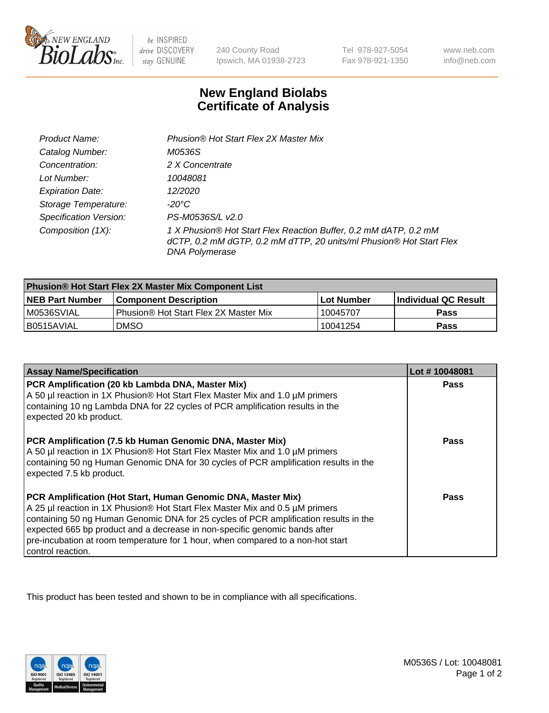

be INSPIRED drive DISCOVERY stay GENUINE

240 County Road Ipswich, MA 01938-2723

Tel 978-927-5054 Fax 978-921-1350

www.neb.com info@neb.com

## **New England Biolabs Certificate of Analysis**

| Product Name:                 | Phusion® Hot Start Flex 2X Master Mix                                                                                                                     |
|-------------------------------|-----------------------------------------------------------------------------------------------------------------------------------------------------------|
| Catalog Number:               | M0536S                                                                                                                                                    |
| Concentration:                | 2 X Concentrate                                                                                                                                           |
| Lot Number:                   | 10048081                                                                                                                                                  |
| <b>Expiration Date:</b>       | 12/2020                                                                                                                                                   |
| Storage Temperature:          | -20°C                                                                                                                                                     |
| <b>Specification Version:</b> | PS-M0536S/L v2.0                                                                                                                                          |
| Composition (1X):             | 1 X Phusion® Hot Start Flex Reaction Buffer, 0.2 mM dATP, 0.2 mM<br>dCTP, 0.2 mM dGTP, 0.2 mM dTTP, 20 units/ml Phusion® Hot Start Flex<br>DNA Polymerase |

| <b>Phusion® Hot Start Flex 2X Master Mix Component List</b> |                                       |            |                             |  |
|-------------------------------------------------------------|---------------------------------------|------------|-----------------------------|--|
| <b>NEB Part Number</b>                                      | l Component Description               | Lot Number | <b>Individual QC Result</b> |  |
| M0536SVIAL                                                  | Phusion® Hot Start Flex 2X Master Mix | 10045707   | Pass                        |  |
| I B0515AVIAL                                                | <b>DMSO</b>                           | 10041254   | <b>Pass</b>                 |  |

| <b>Assay Name/Specification</b>                                                                                                                                                                                                                                                                                                                                                                                            | Lot #10048081 |
|----------------------------------------------------------------------------------------------------------------------------------------------------------------------------------------------------------------------------------------------------------------------------------------------------------------------------------------------------------------------------------------------------------------------------|---------------|
| PCR Amplification (20 kb Lambda DNA, Master Mix)<br>A 50 µl reaction in 1X Phusion® Hot Start Flex Master Mix and 1.0 µM primers<br>containing 10 ng Lambda DNA for 22 cycles of PCR amplification results in the<br>expected 20 kb product.                                                                                                                                                                               | <b>Pass</b>   |
| PCR Amplification (7.5 kb Human Genomic DNA, Master Mix)<br>A 50 µl reaction in 1X Phusion® Hot Start Flex Master Mix and 1.0 µM primers<br>containing 50 ng Human Genomic DNA for 30 cycles of PCR amplification results in the<br>expected 7.5 kb product.                                                                                                                                                               | Pass          |
| PCR Amplification (Hot Start, Human Genomic DNA, Master Mix)<br>A 25 µl reaction in 1X Phusion® Hot Start Flex Master Mix and 0.5 µM primers<br>containing 50 ng Human Genomic DNA for 25 cycles of PCR amplification results in the<br>expected 665 bp product and a decrease in non-specific genomic bands after<br>pre-incubation at room temperature for 1 hour, when compared to a non-hot start<br>control reaction. | Pass          |

This product has been tested and shown to be in compliance with all specifications.